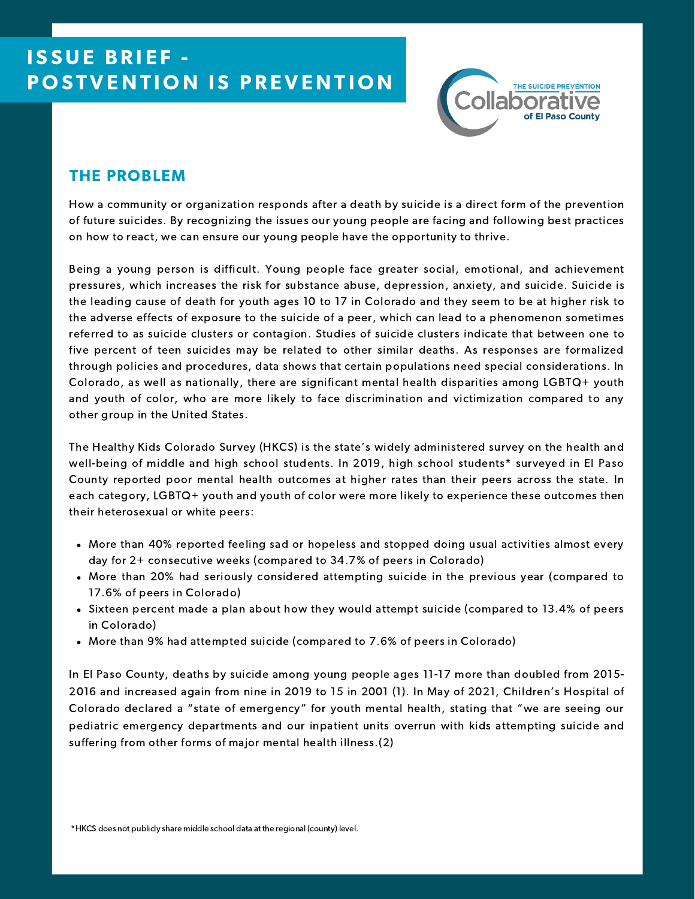

# THE PROBLEM

How a community or organization responds after a death by suicide is a direct form of the prevention of future suicides. By recognizing the issues our young people are facing and following best practices on how to react, we can ensure our young people have the opportunity to thrive.

Being a young person is difficult. Young people face greater social, emotional, and achievement pressures, which increases the risk for substance abuse, depression, anxiety, and suicide. Suicide is the leading cause of death for youth ages 10 to 17 in Colorado and they seem to be at higher risk to the adverse effects of exposure to the suicide of a peer, which can lead to a phenomenon sometimes referred to as suicide clusters or contagion. Studies of suicide clusters indicate that between one to five percent of teen suicides may be related to other similar deaths. As responses are formalized through policies and procedures, data shows that certain populations need special considerations. In Colorado, as well as nationally, there are significant mental health disparities among LGBTQ+ youth and youth of color, who are more likely to face discrimination and victimization compared to any other group in the United States.

The Healthy Kids Colorado Survey (HKCS) is the state's widely administered survey on the health and well-being of middle and high school students. In 2019, high school students\* surveyed in El Paso County reported poor mental health outcomes at higher rates than their peers across the state. In each category, LGBTQ+ youth and youth of color were more likely to experience these outcomes then their heterosexual or white peers:

- More than 40% reported feeling sad or hopeless and stopped doing usual activities almost every day for 2+ consecutive weeks (compared to 34.7% of peers in Colorado)
- More than 20% had seriously considered attempting suicide in the previous year (compared to 17.6% of peers in Colorado)
- Sixteen percent made a plan about how they would attempt suicide (compared to 13.4% of peers in Colorado)
- More than 9% had attempted suicide (compared to 7.6% of peers in Colorado)

In El Paso County, deaths by suicide among young people ages 11-17 more than doubled from 2015- 2016 and increased again from nine in 2019 to 15 in 2001 (1). In May of 2021, Children's Hospital of Colorado declared a "state of emergency" for youth mental health, stating that "we are seeing our pediatric emergency departments and our inpatient units overrun with kids attempting suicide and suffering from other forms of major mental health illness.(2)